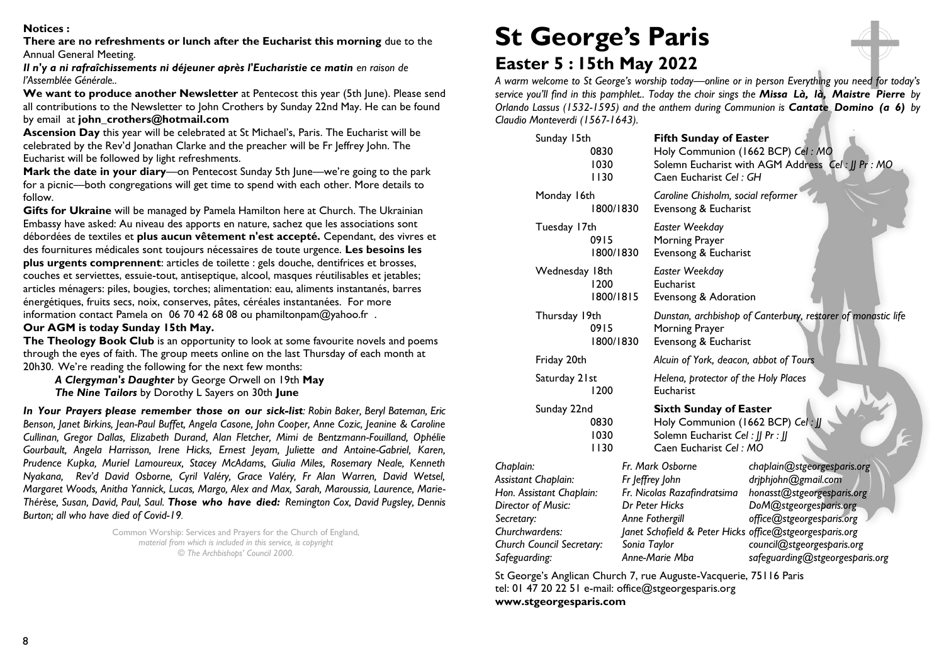#### **Notices :**

**There are no refreshments or lunch after the Eucharist this morning** due to the Annual General Meeting.

*Il n'y a ni rafraîchissements ni déjeuner après l'Eucharistie ce matin en raison de l'Assemblée Générale..*

We want to produce another Newsletter at Pentecost this year (5th June). Please send all contributions to the Newsletter to John Crothers by Sunday 22nd May. He can be found by email at **john\_crothers@hotmail.com**

**Ascension Day** this year will be celebrated at St Michael's, Paris. The Eucharist will be celebrated by the Rev'd Jonathan Clarke and the preacher will be Fr Jeffrey John. The Eucharist will be followed by light refreshments.

**Mark the date in your diary**—on Pentecost Sunday 5th June—we're going to the park for a picnic—both congregations will get time to spend with each other. More details to follow.

**Gifts for Ukraine** will be managed by Pamela Hamilton here at Church. The Ukrainian Embassy have asked: Au niveau des apports en nature, sachez que les associations sont débordées de textiles et **plus aucun vêtement n'est accepté.** Cependant, des vivres et des fournitures médicales sont toujours nécessaires de toute urgence. **Les besoins les plus urgents comprennent**: articles de toilette : gels douche, dentifrices et brosses, couches et serviettes, essuie-tout, antiseptique, alcool, masques réutilisables et jetables; articles ménagers: piles, bougies, torches; alimentation: eau, aliments instantanés, barres énergétiques, fruits secs, noix, conserves, pâtes, céréales instantanées. For more information contact Pamela on 06 70 42 68 08 ou phamiltonpam@yahoo.fr .

#### **Our AGM is today Sunday 15th May.**

**The Theology Book Club** is an opportunity to look at some favourite novels and poems through the eyes of faith. The group meets online on the last Thursday of each month at 20h30. We're reading the following for the next few months:

*A Clergyman's Daughter* by George Orwell on 19th **May** *The Nine Tailors* by Dorothy L Sayers on 30th **June**

*In Your Prayers please remember those on our sick-list: Robin Baker, Beryl Bateman, Eric Benson, Janet Birkins, Jean-Paul Buffet, Angela Casone, John Cooper, Anne Cozic, Jeanine & Caroline Cullinan, Gregor Dallas, Elizabeth Durand, Alan Fletcher, Mimi de Bentzmann-Fouilland, Ophélie Gourbault, Angela Harrisson, Irene Hicks, Ernest Jeyam, Juliette and Antoine-Gabriel, Karen, Prudence Kupka, Muriel Lamoureux, Stacey McAdams, Giulia Miles, Rosemary Neale, Kenneth Nyakana, Rev'd David Osborne, Cyril Valéry, Grace Valéry, Fr Alan Warren, David Wetsel, Margaret Woods, Anitha Yannick, Lucas, Margo, Alex and Max, Sarah, Maroussia, Laurence, Marie-Thérèse, Susan, David, Paul, Saul. Those who have died: Remington Cox, David Pugsley, Dennis Burton; all who have died of Covid-19.*

> Common Worship: Services and Prayers for the Church of England, *material from which is included in this service, is copyright © The Archbishops' Council 2000.*

# **St George's Paris Easter 5 : 15th May 2022**

*A warm welcome to St George's worship today—online or in person Everything you need for today's service you'll find in this pamphlet.. Today the choir sings the Missa Là, là, Maistre Pierre by Orlando Lassus (1532-1595) and the anthem during Communion is Cantate Domino (a 6) by Claudio Monteverdi (1567-1643).*

|              | <b>Fifth Sunday of Easter</b><br>Holy Communion (1662 BCP) Cel: MO<br>Solemn Eucharist with AGM Address Cel: JJ Pr: MO<br>Caen Eucharist Cel: GH                                                                                                                                                                                                                                                 |
|--------------|--------------------------------------------------------------------------------------------------------------------------------------------------------------------------------------------------------------------------------------------------------------------------------------------------------------------------------------------------------------------------------------------------|
|              | Caroline Chisholm, social reformer<br>Evensong & Eucharist                                                                                                                                                                                                                                                                                                                                       |
|              | Easter Weekday<br>Morning Prayer<br>Evensong & Eucharist                                                                                                                                                                                                                                                                                                                                         |
|              | Easter Weekday<br>Eucharist<br>Evensong & Adoration                                                                                                                                                                                                                                                                                                                                              |
|              | Dunstan, archbishop of Canterbury, restorer of monastic life<br>Morning Prayer<br>Evensong & Eucharist                                                                                                                                                                                                                                                                                           |
|              | Alcuin of York, deacon, abbot of Tours                                                                                                                                                                                                                                                                                                                                                           |
|              | Helena, protector of the Holy Places<br>Eucharist                                                                                                                                                                                                                                                                                                                                                |
|              | <b>Sixth Sunday of Easter</b><br>Holy Communion (1662 BCP) Cel: J<br>Solemn Eucharist Cel: JJ Pr: JJ<br>Caen Eucharist Cel: MO                                                                                                                                                                                                                                                                   |
| Sonia Taylor | Fr. Mark Osborne<br>chaplain@stgeorgesparis.org<br>driphjohn@gmail.com<br>Fr Jeffrey John<br>Fr. Nicolas Razafindratsima<br>honasst@stgeorgesparis.org<br>Dr Peter Hicks<br>DoM@stgeorgesparis.org<br>Anne Fothergill<br>office@stgeorgesparis.org<br>Janet Schofield & Peter Hicks office@stgeorgesparis.org<br>council@stgeorgesparis.org<br>Anne-Marie Mba<br>safeguarding@stgeorgesparis.org |
|              | 0830<br>1030<br>1130<br>1800/1830<br>0915<br>1800/1830<br>Wednesday 18th<br>1200<br>1800/1815<br>0915<br>1800/1830<br>1200<br>0830<br>1030<br>1130<br>$C_1$ Cannote Anglican Church 7 mis Augusta Vacquaria 75 LLC Davis                                                                                                                                                                         |

St George's Anglican Church 7, rue Auguste-Vacquerie, 75116 Paris tel: 01 47 20 22 51 e-mail: [office@stgeorgesparis.org](mailto:office@stgeorgesparis.com)  **[www.stgeorgesparis.com](http://www.stgeorgesparis.com/)**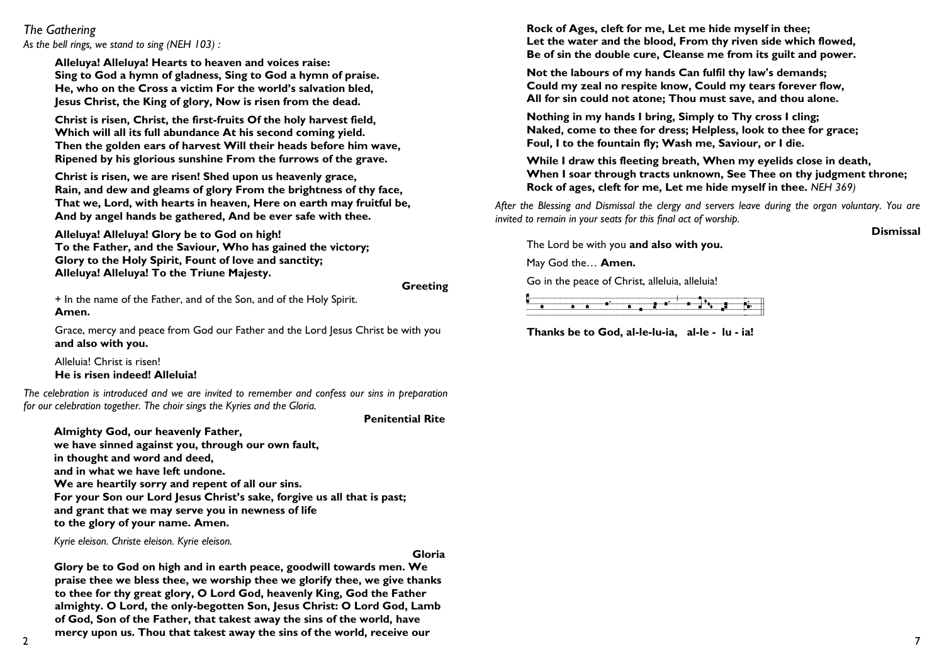*The Gathering*

*As the bell rings, we stand to sing (NEH 103) :*

**Alleluya! Alleluya! Hearts to heaven and voices raise: Sing to God a hymn of gladness, Sing to God a hymn of praise. He, who on the Cross a victim For the world's salvation bled, Jesus Christ, the King of glory, Now is risen from the dead.**

**Christ is risen, Christ, the first-fruits Of the holy harvest field, Which will all its full abundance At his second coming yield. Then the golden ears of harvest Will their heads before him wave, Ripened by his glorious sunshine From the furrows of the grave.**

**Christ is risen, we are risen! Shed upon us heavenly grace, Rain, and dew and gleams of glory From the brightness of thy face, That we, Lord, with hearts in heaven, Here on earth may fruitful be, And by angel hands be gathered, And be ever safe with thee.**

**Alleluya! Alleluya! Glory be to God on high! To the Father, and the Saviour, Who has gained the victory; Glory to the Holy Spirit, Fount of love and sanctity; Alleluya! Alleluya! To the Triune Majesty.**

**Greeting**

**Penitential Rite**

+ In the name of the Father, and of the Son, and of the Holy Spirit. **Amen.**

Grace, mercy and peace from God our Father and the Lord Jesus Christ be with you **and also with you.**

Alleluia! Christ is risen! **He is risen indeed! Alleluia!**

*The celebration is introduced and we are invited to remember and confess our sins in preparation for our celebration together. The choir sings the Kyries and the Gloria.*

**Almighty God, our heavenly Father,** 

**we have sinned against you, through our own fault, in thought and word and deed, and in what we have left undone. We are heartily sorry and repent of all our sins. For your Son our Lord Jesus Christ's sake, forgive us all that is past; and grant that we may serve you in newness of life to the glory of your name. Amen.**

*Kyrie eleison. Christe eleison. Kyrie eleison.*

**Gloria**

**Glory be to God on high and in earth peace, goodwill towards men. We praise thee we bless thee, we worship thee we glorify thee, we give thanks to thee for thy great glory, O Lord God, heavenly King, God the Father almighty. O Lord, the only-begotten Son, Jesus Christ: O Lord God, Lamb of God, Son of the Father, that takest away the sins of the world, have mercy upon us. Thou that takest away the sins of the world, receive our** 

**Rock of Ages, cleft for me, Let me hide myself in thee; Let the water and the blood, From thy riven side which flowed, Be of sin the double cure, Cleanse me from its guilt and power.**

**Not the labours of my hands Can fulfil thy law's demands; Could my zeal no respite know, Could my tears forever flow, All for sin could not atone; Thou must save, and thou alone.**

**Nothing in my hands I bring, Simply to Thy cross I cling; Naked, come to thee for dress; Helpless, look to thee for grace; Foul, I to the fountain fly; Wash me, Saviour, or I die.**

**While I draw this fleeting breath, When my eyelids close in death, When I soar through tracts unknown, See Thee on thy judgment throne; Rock of ages, cleft for me, Let me hide myself in thee.** *NEH 369)* 

*After the Blessing and Dismissal the clergy and servers leave during the organ voluntary. You are invited to remain in your seats for this final act of worship.* 

The Lord be with you **and also with you.**

May God the… **Amen.**

Go in the peace of Christ, alleluia, alleluia!



**Thanks be to God, al-le-lu-ia, al-le - lu - ia!**

**Dismissal**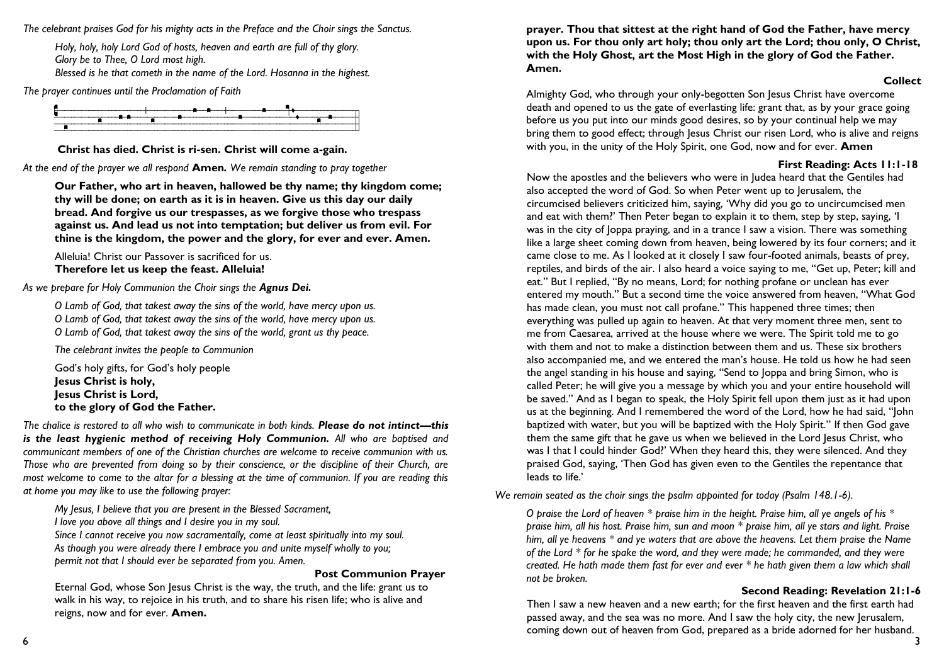*The celebrant praises God for his mighty acts in the Preface and the Choir sings the Sanctus.*

*Holy, holy, holy Lord God of hosts, heaven and earth are full of thy glory. Glory be to Thee, O Lord most high. Blessed is he that cometh in the name of the Lord. Hosanna in the highest.* 

*The prayer continues until the Proclamation of Faith*



**Christ has died. Christ is ri-sen. Christ will come a-gain.**

*At the end of the prayer we all respond* **Amen***. We remain standing to pray together*

**Our Father, who art in heaven, hallowed be thy name; thy kingdom come; thy will be done; on earth as it is in heaven. Give us this day our daily bread. And forgive us our trespasses, as we forgive those who trespass against us. And lead us not into temptation; but deliver us from evil. For thine is the kingdom, the power and the glory, for ever and ever. Amen.**

Alleluia! Christ our Passover is sacrificed for us.

**Therefore let us keep the feast. Alleluia!**

*As we prepare for Holy Communion the Choir sings the Agnus Dei.*

*O Lamb of God, that takest away the sins of the world, have mercy upon us. O Lamb of God, that takest away the sins of the world, have mercy upon us. O Lamb of God, that takest away the sins of the world, grant us thy peace.*

*The celebrant invites the people to Communion*

God's holy gifts, for God's holy people **Jesus Christ is holy, Jesus Christ is Lord, to the glory of God the Father.**

*The chalice is restored to all who wish to communicate in both kinds. Please do not intinct—this is the least hygienic method of receiving Holy Communion. All who are baptised and communicant members of one of the Christian churches are welcome to receive communion with us. Those who are prevented from doing so by their conscience, or the discipline of their Church, are most welcome to come to the altar for a blessing at the time of communion. If you are reading this at home you may like to use the following prayer:*

*My Jesus, I believe that you are present in the Blessed Sacrament,* 

*I love you above all things and I desire you in my soul.*

*Since I cannot receive you now sacramentally, come at least spiritually into my soul.*

*As though you were already there I embrace you and unite myself wholly to you; permit not that I should ever be separated from you. Amen.*

## **Post Communion Prayer**

Eternal God, whose Son Jesus Christ is the way, the truth, and the life: grant us to walk in his way, to rejoice in his truth, and to share his risen life; who is alive and reigns, now and for ever. **Amen.**

**prayer. Thou that sittest at the right hand of God the Father, have mercy upon us. For thou only art holy; thou only art the Lord; thou only, O Christ, with the Holy Ghost, art the Most High in the glory of God the Father. Amen.**

## **Collect**

Almighty God, who through your only-begotten Son Jesus Christ have overcome death and opened to us the gate of everlasting life: grant that, as by your grace going before us you put into our minds good desires, so by your continual help we may bring them to good effect; through Jesus Christ our risen Lord, who is alive and reigns with you, in the unity of the Holy Spirit, one God, now and for ever. **Amen**

#### **First Reading: Acts 11:1-18**

Now the apostles and the believers who were in Judea heard that the Gentiles had also accepted the word of God. So when Peter went up to Jerusalem, the circumcised believers criticized him, saying, 'Why did you go to uncircumcised men and eat with them?' Then Peter began to explain it to them, step by step, saying, 'I was in the city of Joppa praying, and in a trance I saw a vision. There was something like a large sheet coming down from heaven, being lowered by its four corners; and it came close to me. As I looked at it closely I saw four-footed animals, beasts of prey, reptiles, and birds of the air. I also heard a voice saying to me, "Get up, Peter; kill and eat." But I replied, "By no means, Lord; for nothing profane or unclean has ever entered my mouth." But a second time the voice answered from heaven, "What God has made clean, you must not call profane." This happened three times; then everything was pulled up again to heaven. At that very moment three men, sent to me from Caesarea, arrived at the house where we were. The Spirit told me to go with them and not to make a distinction between them and us. These six brothers also accompanied me, and we entered the man's house. He told us how he had seen the angel standing in his house and saying, "Send to Joppa and bring Simon, who is called Peter; he will give you a message by which you and your entire household will be saved." And as I began to speak, the Holy Spirit fell upon them just as it had upon us at the beginning. And I remembered the word of the Lord, how he had said, "John baptized with water, but you will be baptized with the Holy Spirit." If then God gave them the same gift that he gave us when we believed in the Lord Jesus Christ, who was I that I could hinder God?' When they heard this, they were silenced. And they praised God, saying, 'Then God has given even to the Gentiles the repentance that leads to life.'

*We remain seated as the choir sings the psalm appointed for today (Psalm 148.1-6).*

*O praise the Lord of heaven \* praise him in the height. Praise him, all ye angels of his \* praise him, all his host. Praise him, sun and moon \* praise him, all ye stars and light. Praise him, all ye heavens \* and ye waters that are above the heavens. Let them praise the Name of the Lord \* for he spake the word, and they were made; he commanded, and they were created. He hath made them fast for ever and ever \* he hath given them a law which shall not be broken.* 

## **Second Reading: Revelation 21:1-6**

Then I saw a new heaven and a new earth; for the first heaven and the first earth had passed away, and the sea was no more. And I saw the holy city, the new Jerusalem, coming down out of heaven from God, prepared as a bride adorned for her husband.